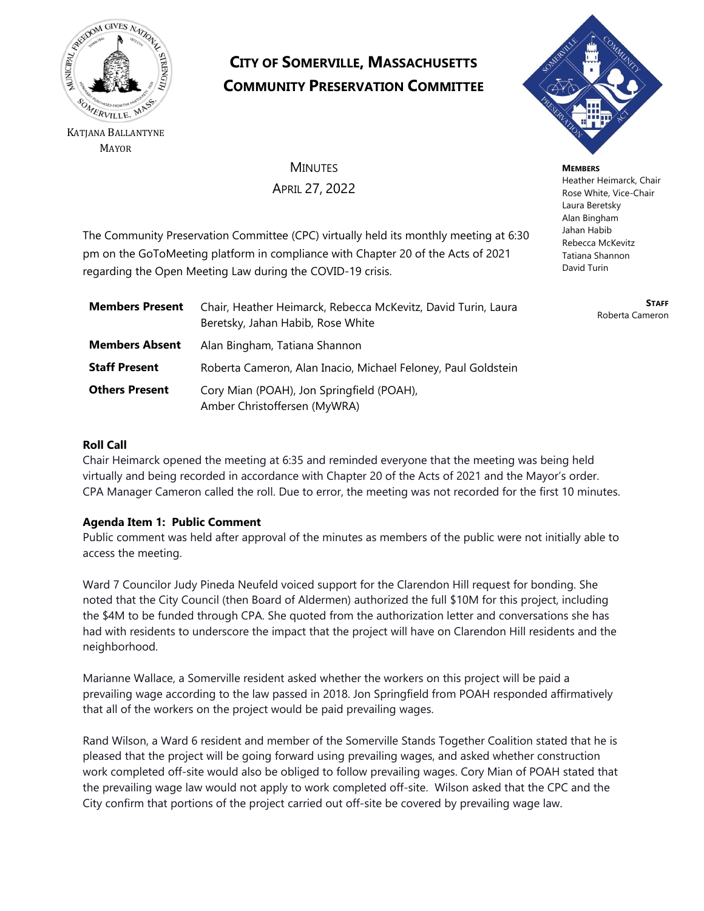

KATJANA BALLANTYNE MAYOR

# **CITY OF SOMERVILLE, MASSACHUSETTS COMMUNITY PRESERVATION COMMITTEE**



**MINUTES** APRIL 27, 2022

**MEMBERS** Heather Heimarck, Chair Rose White, Vice-Chair Laura Beretsky Alan Bingham Jahan Habib Rebecca McKevitz Tatiana Shannon David Turin

> **STAFF** Roberta Cameron

The Community Preservation Committee (CPC) virtually held its monthly meeting at 6:30 pm on the GoToMeeting platform in compliance with Chapter 20 of the Acts of 2021 regarding the Open Meeting Law during the COVID-19 crisis.

| <b>Members Present</b> | Chair, Heather Heimarck, Rebecca McKevitz, David Turin, Laura<br>Beretsky, Jahan Habib, Rose White |
|------------------------|----------------------------------------------------------------------------------------------------|
| <b>Members Absent</b>  | Alan Bingham, Tatiana Shannon                                                                      |
| <b>Staff Present</b>   | Roberta Cameron, Alan Inacio, Michael Feloney, Paul Goldstein                                      |
| <b>Others Present</b>  | Cory Mian (POAH), Jon Springfield (POAH),<br>Amber Christoffersen (MyWRA)                          |

# **Roll Call**

Chair Heimarck opened the meeting at 6:35 and reminded everyone that the meeting was being held virtually and being recorded in accordance with Chapter 20 of the Acts of 2021 and the Mayor's order. CPA Manager Cameron called the roll. Due to error, the meeting was not recorded for the first 10 minutes.

# **Agenda Item 1: Public Comment**

Public comment was held after approval of the minutes as members of the public were not initially able to access the meeting.

Ward 7 Councilor Judy Pineda Neufeld voiced support for the Clarendon Hill request for bonding. She noted that the City Council (then Board of Aldermen) authorized the full \$10M for this project, including the \$4M to be funded through CPA. She quoted from the authorization letter and conversations she has had with residents to underscore the impact that the project will have on Clarendon Hill residents and the neighborhood.

Marianne Wallace, a Somerville resident asked whether the workers on this project will be paid a prevailing wage according to the law passed in 2018. Jon Springfield from POAH responded affirmatively that all of the workers on the project would be paid prevailing wages.

Rand Wilson, a Ward 6 resident and member of the Somerville Stands Together Coalition stated that he is pleased that the project will be going forward using prevailing wages, and asked whether construction work completed off-site would also be obliged to follow prevailing wages. Cory Mian of POAH stated that the prevailing wage law would not apply to work completed off-site. Wilson asked that the CPC and the City confirm that portions of the project carried out off-site be covered by prevailing wage law.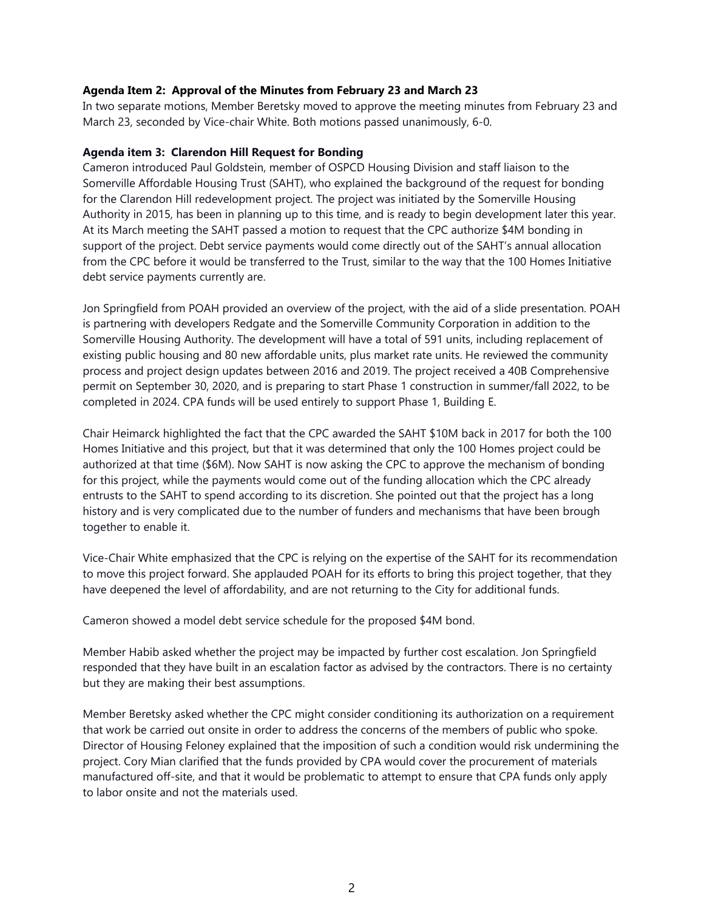### **Agenda Item 2: Approval of the Minutes from February 23 and March 23**

In two separate motions, Member Beretsky moved to approve the meeting minutes from February 23 and March 23, seconded by Vice-chair White. Both motions passed unanimously, 6-0.

#### **Agenda item 3: Clarendon Hill Request for Bonding**

Cameron introduced Paul Goldstein, member of OSPCD Housing Division and staff liaison to the Somerville Affordable Housing Trust (SAHT), who explained the background of the request for bonding for the Clarendon Hill redevelopment project. The project was initiated by the Somerville Housing Authority in 2015, has been in planning up to this time, and is ready to begin development later this year. At its March meeting the SAHT passed a motion to request that the CPC authorize \$4M bonding in support of the project. Debt service payments would come directly out of the SAHT's annual allocation from the CPC before it would be transferred to the Trust, similar to the way that the 100 Homes Initiative debt service payments currently are.

Jon Springfield from POAH provided an overview of the project, with the aid of a slide presentation. POAH is partnering with developers Redgate and the Somerville Community Corporation in addition to the Somerville Housing Authority. The development will have a total of 591 units, including replacement of existing public housing and 80 new affordable units, plus market rate units. He reviewed the community process and project design updates between 2016 and 2019. The project received a 40B Comprehensive permit on September 30, 2020, and is preparing to start Phase 1 construction in summer/fall 2022, to be completed in 2024. CPA funds will be used entirely to support Phase 1, Building E.

Chair Heimarck highlighted the fact that the CPC awarded the SAHT \$10M back in 2017 for both the 100 Homes Initiative and this project, but that it was determined that only the 100 Homes project could be authorized at that time (\$6M). Now SAHT is now asking the CPC to approve the mechanism of bonding for this project, while the payments would come out of the funding allocation which the CPC already entrusts to the SAHT to spend according to its discretion. She pointed out that the project has a long history and is very complicated due to the number of funders and mechanisms that have been brough together to enable it.

Vice-Chair White emphasized that the CPC is relying on the expertise of the SAHT for its recommendation to move this project forward. She applauded POAH for its efforts to bring this project together, that they have deepened the level of affordability, and are not returning to the City for additional funds.

Cameron showed a model debt service schedule for the proposed \$4M bond.

Member Habib asked whether the project may be impacted by further cost escalation. Jon Springfield responded that they have built in an escalation factor as advised by the contractors. There is no certainty but they are making their best assumptions.

Member Beretsky asked whether the CPC might consider conditioning its authorization on a requirement that work be carried out onsite in order to address the concerns of the members of public who spoke. Director of Housing Feloney explained that the imposition of such a condition would risk undermining the project. Cory Mian clarified that the funds provided by CPA would cover the procurement of materials manufactured off-site, and that it would be problematic to attempt to ensure that CPA funds only apply to labor onsite and not the materials used.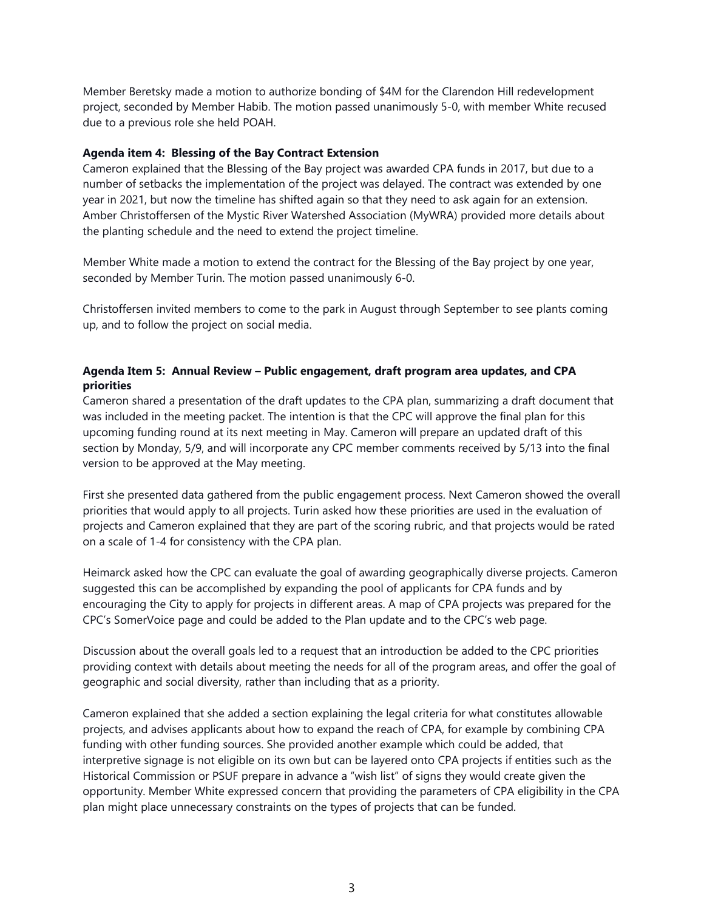Member Beretsky made a motion to authorize bonding of \$4M for the Clarendon Hill redevelopment project, seconded by Member Habib. The motion passed unanimously 5-0, with member White recused due to a previous role she held POAH.

#### **Agenda item 4: Blessing of the Bay Contract Extension**

Cameron explained that the Blessing of the Bay project was awarded CPA funds in 2017, but due to a number of setbacks the implementation of the project was delayed. The contract was extended by one year in 2021, but now the timeline has shifted again so that they need to ask again for an extension. Amber Christoffersen of the Mystic River Watershed Association (MyWRA) provided more details about the planting schedule and the need to extend the project timeline.

Member White made a motion to extend the contract for the Blessing of the Bay project by one year, seconded by Member Turin. The motion passed unanimously 6-0.

Christoffersen invited members to come to the park in August through September to see plants coming up, and to follow the project on social media.

# **Agenda Item 5: Annual Review – Public engagement, draft program area updates, and CPA priorities**

Cameron shared a presentation of the draft updates to the CPA plan, summarizing a draft document that was included in the meeting packet. The intention is that the CPC will approve the final plan for this upcoming funding round at its next meeting in May. Cameron will prepare an updated draft of this section by Monday, 5/9, and will incorporate any CPC member comments received by 5/13 into the final version to be approved at the May meeting.

First she presented data gathered from the public engagement process. Next Cameron showed the overall priorities that would apply to all projects. Turin asked how these priorities are used in the evaluation of projects and Cameron explained that they are part of the scoring rubric, and that projects would be rated on a scale of 1-4 for consistency with the CPA plan.

Heimarck asked how the CPC can evaluate the goal of awarding geographically diverse projects. Cameron suggested this can be accomplished by expanding the pool of applicants for CPA funds and by encouraging the City to apply for projects in different areas. A map of CPA projects was prepared for the CPC's SomerVoice page and could be added to the Plan update and to the CPC's web page.

Discussion about the overall goals led to a request that an introduction be added to the CPC priorities providing context with details about meeting the needs for all of the program areas, and offer the goal of geographic and social diversity, rather than including that as a priority.

Cameron explained that she added a section explaining the legal criteria for what constitutes allowable projects, and advises applicants about how to expand the reach of CPA, for example by combining CPA funding with other funding sources. She provided another example which could be added, that interpretive signage is not eligible on its own but can be layered onto CPA projects if entities such as the Historical Commission or PSUF prepare in advance a "wish list" of signs they would create given the opportunity. Member White expressed concern that providing the parameters of CPA eligibility in the CPA plan might place unnecessary constraints on the types of projects that can be funded.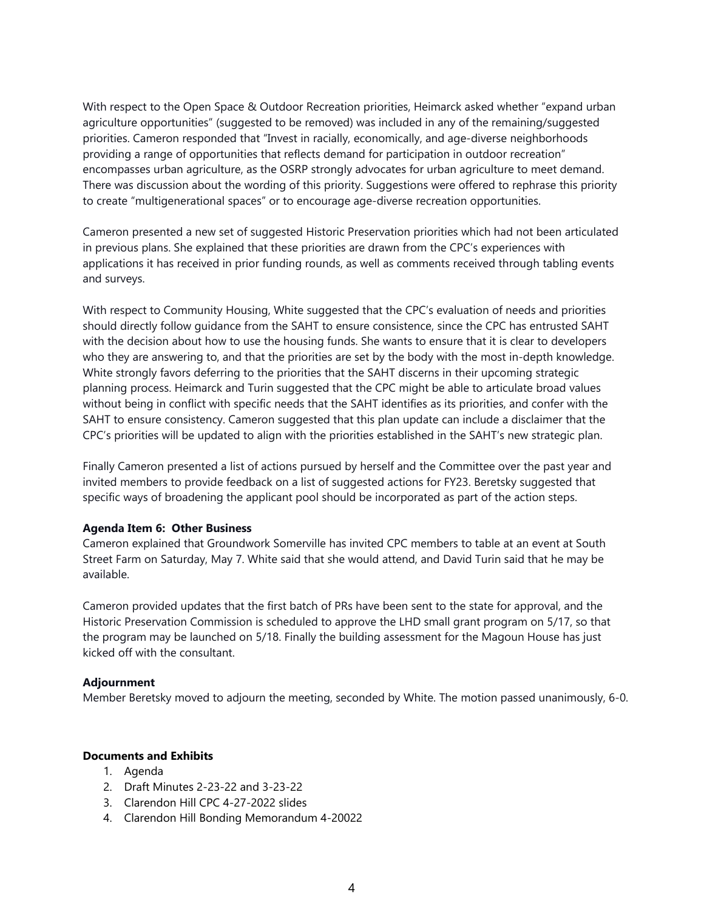With respect to the Open Space & Outdoor Recreation priorities, Heimarck asked whether "expand urban agriculture opportunities" (suggested to be removed) was included in any of the remaining/suggested priorities. Cameron responded that "Invest in racially, economically, and age-diverse neighborhoods providing a range of opportunities that reflects demand for participation in outdoor recreation" encompasses urban agriculture, as the OSRP strongly advocates for urban agriculture to meet demand. There was discussion about the wording of this priority. Suggestions were offered to rephrase this priority to create "multigenerational spaces" or to encourage age-diverse recreation opportunities.

Cameron presented a new set of suggested Historic Preservation priorities which had not been articulated in previous plans. She explained that these priorities are drawn from the CPC's experiences with applications it has received in prior funding rounds, as well as comments received through tabling events and surveys.

With respect to Community Housing, White suggested that the CPC's evaluation of needs and priorities should directly follow guidance from the SAHT to ensure consistence, since the CPC has entrusted SAHT with the decision about how to use the housing funds. She wants to ensure that it is clear to developers who they are answering to, and that the priorities are set by the body with the most in-depth knowledge. White strongly favors deferring to the priorities that the SAHT discerns in their upcoming strategic planning process. Heimarck and Turin suggested that the CPC might be able to articulate broad values without being in conflict with specific needs that the SAHT identifies as its priorities, and confer with the SAHT to ensure consistency. Cameron suggested that this plan update can include a disclaimer that the CPC's priorities will be updated to align with the priorities established in the SAHT's new strategic plan.

Finally Cameron presented a list of actions pursued by herself and the Committee over the past year and invited members to provide feedback on a list of suggested actions for FY23. Beretsky suggested that specific ways of broadening the applicant pool should be incorporated as part of the action steps.

## **Agenda Item 6: Other Business**

Cameron explained that Groundwork Somerville has invited CPC members to table at an event at South Street Farm on Saturday, May 7. White said that she would attend, and David Turin said that he may be available.

Cameron provided updates that the first batch of PRs have been sent to the state for approval, and the Historic Preservation Commission is scheduled to approve the LHD small grant program on 5/17, so that the program may be launched on 5/18. Finally the building assessment for the Magoun House has just kicked off with the consultant.

#### **Adjournment**

Member Beretsky moved to adjourn the meeting, seconded by White. The motion passed unanimously, 6-0.

#### **Documents and Exhibits**

- 1. Agenda
- 2. Draft Minutes 2-23-22 and 3-23-22
- 3. Clarendon Hill CPC 4-27-2022 slides
- 4. Clarendon Hill Bonding Memorandum 4-20022